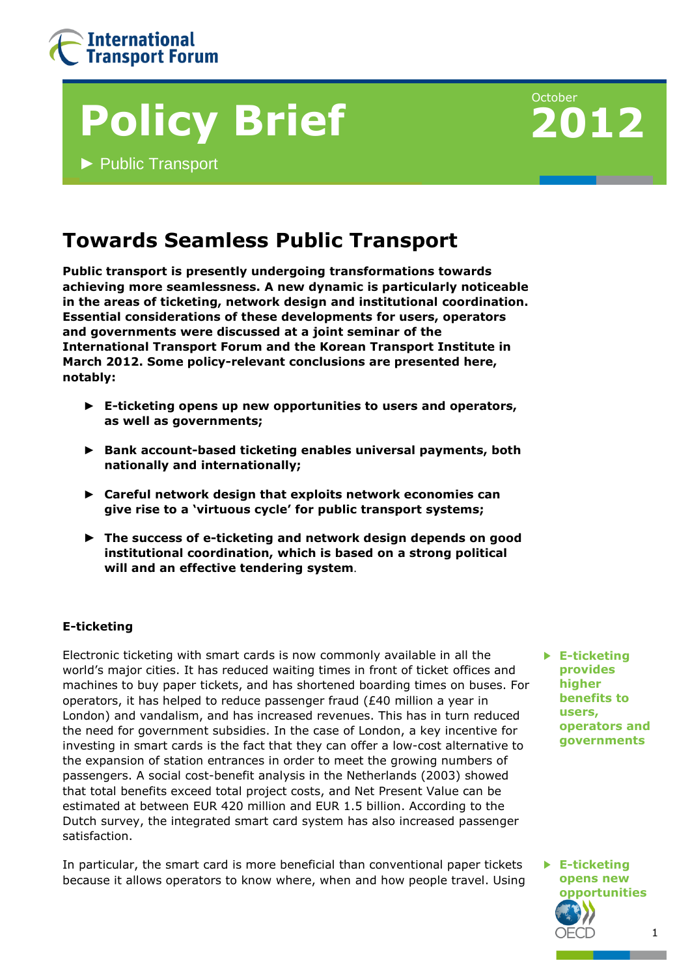

# **Policy Brief**

**►** Public Transport



## **Towards Seamless Public Transport**

**Public transport is presently undergoing transformations towards achieving more seamlessness. A new dynamic is particularly noticeable in the areas of ticketing, network design and institutional coordination. Essential considerations of these developments for users, operators and governments were discussed at a joint seminar of the International Transport Forum and the Korean Transport Institute in March 2012. Some policy-relevant conclusions are presented here, notably:**

- ► **E-ticketing opens up new opportunities to users and operators, as well as governments;**
- ► **Bank account-based ticketing enables universal payments, both nationally and internationally;**
- ► **Careful network design that exploits network economies can give rise to a 'virtuous cycle' for public transport systems;**
- ► **The success of e-ticketing and network design depends on good institutional coordination, which is based on a strong political will and an effective tendering system**.

#### **E-ticketing**

Electronic ticketing with smart cards is now commonly available in all the world's major cities. It has reduced waiting times in front of ticket offices and machines to buy paper tickets, and has shortened boarding times on buses. For operators, it has helped to reduce passenger fraud (£40 million a year in London) and vandalism, and has increased revenues. This has in turn reduced the need for government subsidies. In the case of London, a key incentive for investing in smart cards is the fact that they can offer a low-cost alternative to the expansion of station entrances in order to meet the growing numbers of passengers. A social cost-benefit analysis in the Netherlands (2003) showed that total benefits exceed total project costs, and Net Present Value can be estimated at between EUR 420 million and EUR 1.5 billion. According to the Dutch survey, the integrated smart card system has also increased passenger satisfaction.

In particular, the smart card is more beneficial than conventional paper tickets because it allows operators to know where, when and how people travel. Using

► **E-ticketing provides higher benefits to users, operators and governments**

1 ► **E-ticketing opens new opportunities**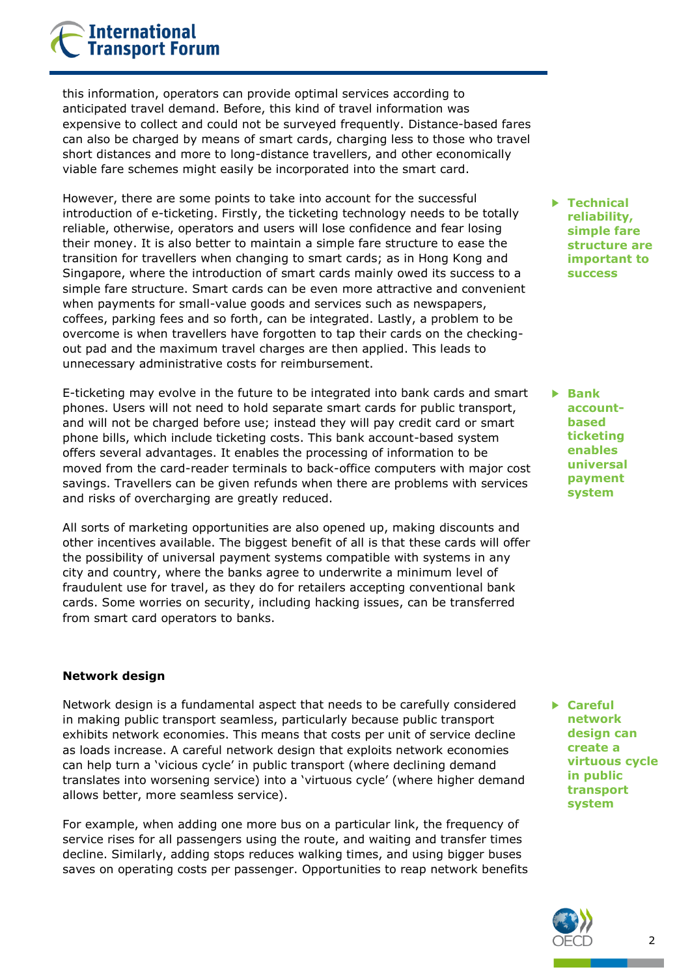### **International Transport Forum**

this information, operators can provide optimal services according to anticipated travel demand. Before, this kind of travel information was expensive to collect and could not be surveyed frequently. Distance-based fares can also be charged by means of smart cards, charging less to those who travel short distances and more to long-distance travellers, and other economically viable fare schemes might easily be incorporated into the smart card.

However, there are some points to take into account for the successful introduction of e-ticketing. Firstly, the ticketing technology needs to be totally reliable, otherwise, operators and users will lose confidence and fear losing their money. It is also better to maintain a simple fare structure to ease the transition for travellers when changing to smart cards; as in Hong Kong and Singapore, where the introduction of smart cards mainly owed its success to a simple fare structure. Smart cards can be even more attractive and convenient when payments for small-value goods and services such as newspapers, coffees, parking fees and so forth, can be integrated. Lastly, a problem to be overcome is when travellers have forgotten to tap their cards on the checkingout pad and the maximum travel charges are then applied. This leads to unnecessary administrative costs for reimbursement.

E-ticketing may evolve in the future to be integrated into bank cards and smart phones. Users will not need to hold separate smart cards for public transport, and will not be charged before use; instead they will pay credit card or smart phone bills, which include ticketing costs. This bank account-based system offers several advantages. It enables the processing of information to be moved from the card-reader terminals to back-office computers with major cost savings. Travellers can be given refunds when there are problems with services and risks of overcharging are greatly reduced.

All sorts of marketing opportunities are also opened up, making discounts and other incentives available. The biggest benefit of all is that these cards will offer the possibility of universal payment systems compatible with systems in any city and country, where the banks agree to underwrite a minimum level of fraudulent use for travel, as they do for retailers accepting conventional bank cards. Some worries on security, including hacking issues, can be transferred from smart card operators to banks.

#### **Network design**

Network design is a fundamental aspect that needs to be carefully considered in making public transport seamless, particularly because public transport exhibits network economies. This means that costs per unit of service decline as loads increase. A careful network design that exploits network economies can help turn a 'vicious cycle' in public transport (where declining demand translates into worsening service) into a 'virtuous cycle' (where higher demand allows better, more seamless service).

For example, when adding one more bus on a particular link, the frequency of service rises for all passengers using the route, and waiting and transfer times decline. Similarly, adding stops reduces walking times, and using bigger buses saves on operating costs per passenger. Opportunities to reap network benefits ► **Technical reliability, simple fare structure are important to success**

► **Bank accountbased ticketing enables universal payment system**

► **Careful network design can create a virtuous cycle in public transport system**

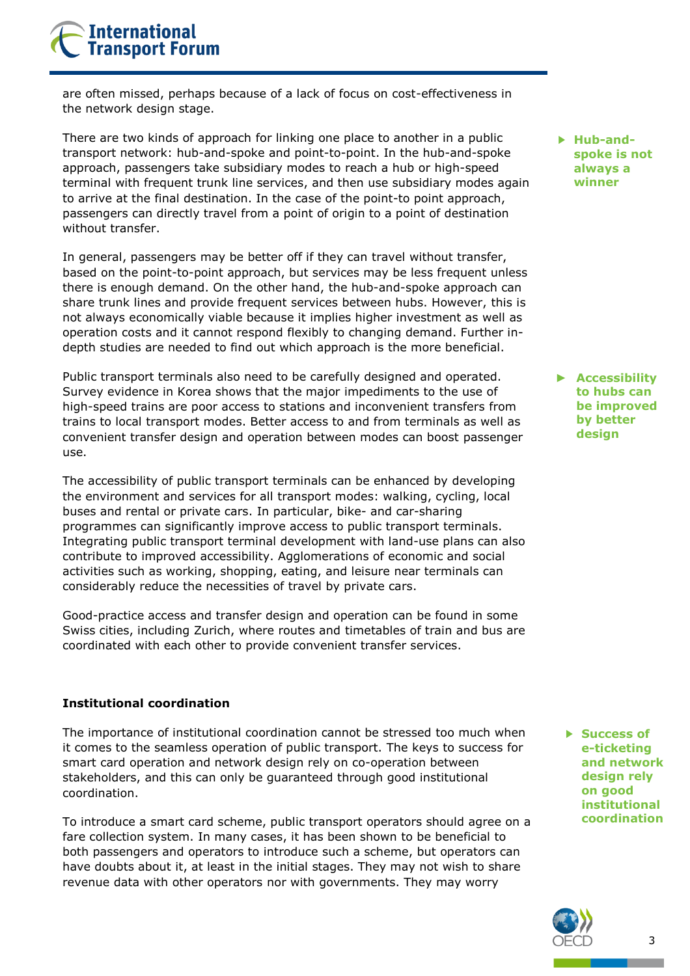## **International Transport Forum**

are often missed, perhaps because of a lack of focus on cost-effectiveness in the network design stage.

There are two kinds of approach for linking one place to another in a public transport network: hub-and-spoke and point-to-point. In the hub-and-spoke approach, passengers take subsidiary modes to reach a hub or high-speed terminal with frequent trunk line services, and then use subsidiary modes again to arrive at the final destination. In the case of the point-to point approach, passengers can directly travel from a point of origin to a point of destination without transfer.

In general, passengers may be better off if they can travel without transfer, based on the point-to-point approach, but services may be less frequent unless there is enough demand. On the other hand, the hub-and-spoke approach can share trunk lines and provide frequent services between hubs. However, this is not always economically viable because it implies higher investment as well as operation costs and it cannot respond flexibly to changing demand. Further indepth studies are needed to find out which approach is the more beneficial.

Public transport terminals also need to be carefully designed and operated. Survey evidence in Korea shows that the major impediments to the use of high-speed trains are poor access to stations and inconvenient transfers from trains to local transport modes. Better access to and from terminals as well as convenient transfer design and operation between modes can boost passenger use.

The accessibility of public transport terminals can be enhanced by developing the environment and services for all transport modes: walking, cycling, local buses and rental or private cars. In particular, bike- and car-sharing programmes can significantly improve access to public transport terminals. Integrating public transport terminal development with land-use plans can also contribute to improved accessibility. Agglomerations of economic and social activities such as working, shopping, eating, and leisure near terminals can considerably reduce the necessities of travel by private cars.

Good-practice access and transfer design and operation can be found in some Swiss cities, including Zurich, where routes and timetables of train and bus are coordinated with each other to provide convenient transfer services.

#### **Institutional coordination**

The importance of institutional coordination cannot be stressed too much when it comes to the seamless operation of public transport. The keys to success for smart card operation and network design rely on co-operation between stakeholders, and this can only be guaranteed through good institutional coordination.

To introduce a smart card scheme, public transport operators should agree on a fare collection system. In many cases, it has been shown to be beneficial to both passengers and operators to introduce such a scheme, but operators can have doubts about it, at least in the initial stages. They may not wish to share revenue data with other operators nor with governments. They may worry

► **Hub-andspoke is not always a winner**

► **Accessibility to hubs can be improved by better design**

► **Success of e-ticketing and network design rely on good institutional coordination**